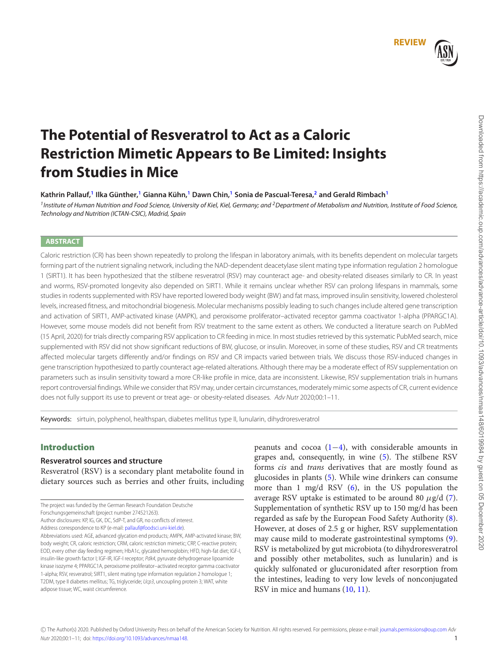

**REVIEW**

# **The Potential of Resveratrol to Act as a Caloric Restriction Mimetic Appears to Be Limited: Insights from Studies in Mice**

**Kathrin Pallauf,<sup>1</sup> Ilka Günther,<sup>1</sup> Gianna Kühn,<sup>1</sup> Dawn Chin,<sup>1</sup> Sonia de Pascual-Teresa,<sup>2</sup> and Gerald Rimbach<sup>1</sup>**

<sup>1</sup> Institute of Human Nutrition and Food Science, University of Kiel, Kiel, Germany; and <sup>2</sup> Department of Metabolism and Nutrition, Institute of Food Science, Technology and Nutrition (ICTAN-CSIC), Madrid, Spain

# **ABSTRACT**

Caloric restriction (CR) has been shown repeatedly to prolong the lifespan in laboratory animals, with its benefits dependent on molecular targets forming part of the nutrient signaling network, including the NAD-dependent deacetylase silent mating type information regulation 2 homologue 1 (SIRT1). It has been hypothesized that the stilbene resveratrol (RSV) may counteract age- and obesity-related diseases similarly to CR. In yeast and worms, RSV-promoted longevity also depended on SIRT1. While it remains unclear whether RSV can prolong lifespans in mammals, some studies in rodents supplemented with RSV have reported lowered body weight (BW) and fat mass, improved insulin sensitivity, lowered cholesterol levels, increased fitness, and mitochondrial biogenesis. Molecular mechanisms possibly leading to such changes include altered gene transcription and activation of SIRT1, AMP-activated kinase (AMPK), and peroxisome proliferator–activated receptor gamma coactivator 1-alpha (PPARGC1A). However, some mouse models did not benefit from RSV treatment to the same extent as others. We conducted a literature search on PubMed (15 April, 2020) for trials directly comparing RSV application to CR feeding in mice. In most studies retrieved by this systematic PubMed search, mice supplemented with RSV did not show significant reductions of BW, glucose, or insulin. Moreover, in some of these studies, RSV and CR treatments affected molecular targets differently and/or findings on RSV and CR impacts varied between trials. We discuss those RSV-induced changes in gene transcription hypothesized to partly counteract age-related alterations. Although there may be a moderate effect of RSV supplementation on parameters such as insulin sensitivity toward a more CR-like profile in mice, data are inconsistent. Likewise, RSV supplementation trials in humans report controversial findings. While we consider that RSV may, under certain circumstances, moderately mimic some aspects of CR, current evidence does not fully support its use to prevent or treat age- or obesity-related diseases. Adv Nutr 2020;00:1-11.

Keywords: sirtuin, polyphenol, healthspan, diabetes mellitus type II, lunularin, dihydroresveratrol

# Introduction

# **Resveratrol sources and structure**

Resveratrol (RSV) is a secondary plant metabolite found in dietary sources such as berries and other fruits, including peanuts and cocoa  $(1-4)$ , with considerable amounts in grapes and, consequently, in wine (5). The stilbene RSV forms cis and trans derivatives that are mostly found as glucosides in plants (5). While wine drinkers can consume more than 1 mg/d RSV  $(6)$ , in the US population the average RSV uptake is estimated to be around 80  $\mu$ g/d (7). Supplementation of synthetic RSV up to 150 mg/d has been regarded as safe by the European Food Safety Authority (8). However, at doses of 2.5 g or higher, RSV supplementation may cause mild to moderate gastrointestinal symptoms (9). RSV is metabolized by gut microbiota (to dihydroresveratrol and possibly other metabolites, such as lunularin) and is quickly sulfonated or glucuronidated after resorption from the intestines, leading to very low levels of nonconjugated RSV in mice and humans (10, 11).

The project was funded by the German Research Foundation Deutsche

Forschungsgemeinschaft (project number 274521263).

Author disclosures: KP, IG, GK, DC, SdP-T, and GR, no conflicts of interest. Address correspondence to KP (e-mail: pallauf@foodsci.uni-kiel.de)

Abbreviations used: AGE, advanced glycation end products; AMPK, AMP-activated kinase; BW, body weight; CR, caloric restriction; CRM, caloric restriction mimetic; CRP, C-reactive protein; EOD, every other day feeding regimen; HbA1c, glycated hemoglobin; HFD, high-fat diet; IGF-I, insulin-like growth factor I; IGF-IR, IGF-I receptor; Pdk4, pyruvate dehydrogenase lipoamide kinase isozyme 4; PPARGC1A, peroxisome proliferator–activated receptor gamma coactivator 1-alpha; RSV, resveratrol; SIRT1, silent mating type information regulation 2 homologue 1; T2DM, type II diabetes mellitus; TG, triglyceride; Ucp3, uncoupling protein 3; WAT, white adipose tissue; WC, waist circumference.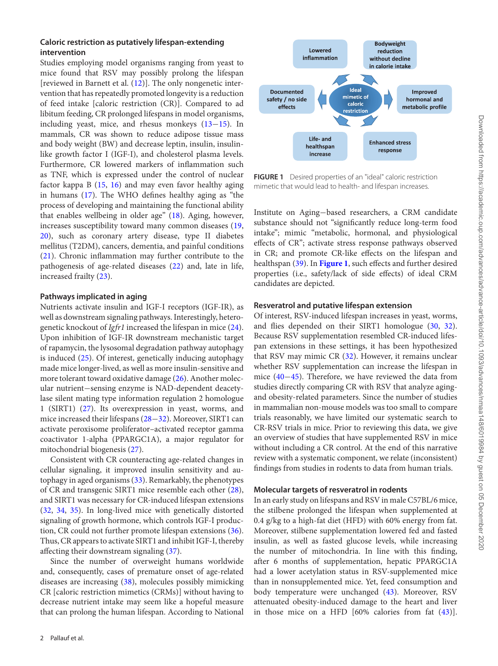# **Caloric restriction as putatively lifespan-extending intervention**

Studies employing model organisms ranging from yeast to mice found that RSV may possibly prolong the lifespan [reviewed in Barnett et al. (12)]. The only nongenetic intervention that has repeatedly promoted longevity is a reduction of feed intake [caloric restriction (CR)]. Compared to ad libitum feeding, CR prolonged lifespans in model organisms, including yeast, mice, and rhesus monkeys (13−15). In mammals, CR was shown to reduce adipose tissue mass and body weight (BW) and decrease leptin, insulin, insulinlike growth factor I (IGF-I), and cholesterol plasma levels. Furthermore, CR lowered markers of inflammation such as TNF, which is expressed under the control of nuclear factor kappa B (15, 16) and may even favor healthy aging in humans (17). The WHO defines healthy aging as "the process of developing and maintaining the functional ability that enables wellbeing in older age" (18). Aging, however, increases susceptibility toward many common diseases (19, 20), such as coronary artery disease, type II diabetes mellitus (T2DM), cancers, dementia, and painful conditions (21). Chronic inflammation may further contribute to the pathogenesis of age-related diseases (22) and, late in life, increased frailty (23).

# **Pathways implicated in aging**

Nutrients activate insulin and IGF-I receptors (IGF-IR), as well as downstream signaling pathways. Interestingly, heterogenetic knockout of Igfr1 increased the lifespan in mice (24). Upon inhibition of IGF-IR downstream mechanistic target of rapamycin, the lysosomal degradation pathway autophagy is induced (25). Of interest, genetically inducing autophagy made mice longer-lived, as well as more insulin-sensitive and more tolerant toward oxidative damage (26). Another molecular nutrient−sensing enzyme is NAD-dependent deacetylase silent mating type information regulation 2 homologue 1 (SIRT1) (27). Its overexpression in yeast, worms, and mice increased their lifespans (28−32). Moreover, SIRT1 can activate peroxisome proliferator–activated receptor gamma coactivator 1-alpha (PPARGC1A), a major regulator for mitochondrial biogenesis (27).

Consistent with CR counteracting age-related changes in cellular signaling, it improved insulin sensitivity and autophagy in aged organisms (33). Remarkably, the phenotypes of CR and transgenic SIRT1 mice resemble each other (28), and SIRT1 was necessary for CR-induced lifespan extensions (32, 34, 35). In long-lived mice with genetically distorted signaling of growth hormone, which controls IGF-I production, CR could not further promote lifespan extensions (36). Thus, CR appears to activate SIRT1 and inhibit IGF-I, thereby affecting their downstream signaling (37).

Since the number of overweight humans worldwide and, consequently, cases of premature onset of age-related diseases are increasing (38), molecules possibly mimicking CR [caloric restriction mimetics (CRMs)] without having to decrease nutrient intake may seem like a hopeful measure that can prolong the human lifespan. According to National



**FIGURE 1** Desired properties of an "ideal" caloric restriction mimetic that would lead to health- and lifespan increases.

Institute on Aging−based researchers, a CRM candidate substance should not "significantly reduce long-term food intake"; mimic "metabolic, hormonal, and physiological effects of CR"; activate stress response pathways observed in CR; and promote CR-like effects on the lifespan and healthspan (39). In **Figure 1**, such effects and further desired properties (i.e., safety/lack of side effects) of ideal CRM candidates are depicted.

#### **Resveratrol and putative lifespan extension**

Of interest, RSV-induced lifespan increases in yeast, worms, and flies depended on their SIRT1 homologue (30, 32). Because RSV supplementation resembled CR-induced lifespan extensions in these settings, it has been hypothesized that RSV may mimic CR  $(32)$ . However, it remains unclear whether RSV supplementation can increase the lifespan in mice (40−45). Therefore, we have reviewed the data from studies directly comparing CR with RSV that analyze agingand obesity-related parameters. Since the number of studies in mammalian non-mouse models was too small to compare trials reasonably, we have limited our systematic search to CR-RSV trials in mice. Prior to reviewing this data, we give an overview of studies that have supplemented RSV in mice without including a CR control. At the end of this narrative review with a systematic component, we relate (inconsistent) findings from studies in rodents to data from human trials.

# **Molecular targets of resveratrol in rodents**

In an early study on lifespans and RSV in male C57BL/6 mice, the stilbene prolonged the lifespan when supplemented at 0.4 g/kg to a high-fat diet (HFD) with 60% energy from fat. Moreover, stilbene supplementation lowered fed and fasted insulin, as well as fasted glucose levels, while increasing the number of mitochondria. In line with this finding, after 6 months of supplementation, hepatic PPARGC1A had a lower acetylation status in RSV-supplemented mice than in nonsupplemented mice. Yet, feed consumption and body temperature were unchanged (43). Moreover, RSV attenuated obesity-induced damage to the heart and liver in those mice on a HFD [60% calories from fat (43)].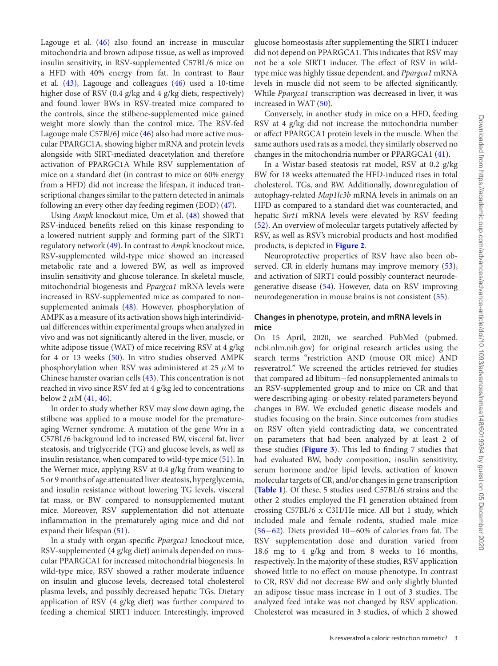Lagouge et al. (46) also found an increase in muscular mitochondria and brown adipose tissue, as well as improved insulin sensitivity, in RSV-supplemented C57BL/6 mice on a HFD with 40% energy from fat. In contrast to Baur et al. (43), Lagouge and colleagues (46) used a 10-time higher dose of RSV (0.4 g/kg and 4 g/kg diets, respectively) and found lower BWs in RSV-treated mice compared to the controls, since the stilbene-supplemented mice gained weight more slowly than the control mice. The RSV-fed Lagouge male C57Bl/6J mice (46) also had more active muscular PPARGC1A, showing higher mRNA and protein levels alongside with SIRT-mediated deacetylation and therefore activation of PPARGC1A While RSV supplementation of mice on a standard diet (in contrast to mice on 60% energy from a HFD) did not increase the lifespan, it induced transcriptional changes similar to the pattern detected in animals following an every other day feeding regimen (EOD) (47).

Using Ampk knockout mice, Um et al. (48) showed that RSV-induced benefits relied on this kinase responding to a lowered nutrient supply and forming part of the SIRT1 regulatory network (49). In contrast to Ampk knockout mice, RSV-supplemented wild-type mice showed an increased metabolic rate and a lowered BW, as well as improved insulin sensitivity and glucose tolerance. In skeletal muscle, mitochondrial biogenesis and Ppargca1 mRNA levels were increased in RSV-supplemented mice as compared to nonsupplemented animals (48). However, phosphorylation of AMPK as a measure of its activation shows high interindividual differences within experimental groups when analyzed in vivo and was not significantly altered in the liver, muscle, or white adipose tissue (WAT) of mice receiving RSV at 4 g/kg for 4 or 13 weeks (50). In vitro studies observed AMPK phosphorylation when RSV was administered at 25  $\mu$ M to Chinese hamster ovarian cells (43). This concentration is not reached in vivo since RSV fed at 4 g/kg led to concentrations below 2  $\mu$ M (41, 46).

In order to study whether RSV may slow down aging, the stilbene was applied to a mouse model for the prematureaging Werner syndrome. A mutation of the gene Wrn in a C57BL/6 background led to increased BW, visceral fat, liver steatosis, and triglyceride (TG) and glucose levels, as well as insulin resistance, when compared to wild-type mice (51). In the Werner mice, applying RSV at 0.4 g/kg from weaning to 5 or 9 months of age attenuated liver steatosis, hyperglycemia, and insulin resistance without lowering TG levels, visceral fat mass, or BW compared to nonsupplemented mutant mice. Moreover, RSV supplementation did not attenuate inflammation in the prematurely aging mice and did not expand their lifespan (51).

In a study with organ-specific Ppargca1 knockout mice, RSV-supplemented (4 g/kg diet) animals depended on muscular PPARGCA1 for increased mitochondrial biogenesis. In wild-type mice, RSV showed a rather moderate influence on insulin and glucose levels, decreased total cholesterol plasma levels, and possibly decreased hepatic TGs. Dietary application of RSV (4 g/kg diet) was further compared to feeding a chemical SIRT1 inducer. Interestingly, improved glucose homeostasis after supplementing the SIRT1 inducer did not depend on PPARGCA1. This indicates that RSV may not be a sole SIRT1 inducer. The effect of RSV in wildtype mice was highly tissue dependent, and Ppargca1 mRNA levels in muscle did not seem to be affected significantly. While Ppargca1 transcription was decreased in liver, it was increased in WAT (50).

Conversely, in another study in mice on a HFD, feeding RSV at 4 g/kg did not increase the mitochondria number or affect PPARGCA1 protein levels in the muscle. When the same authors used rats as a model, they similarly observed no changes in the mitochondria number or PPARGCA1 (41).

In a Wistar-based steatosis rat model, RSV at 0.2 g/kg BW for 18 weeks attenuated the HFD-induced rises in total cholesterol, TGs, and BW. Additionally, downregulation of autophagy-related Map1lc3b mRNA levels in animals on an HFD as compared to a standard diet was counteracted, and hepatic Sirt1 mRNA levels were elevated by RSV feeding (52). An overview of molecular targets putatively affected by RSV, as well as RSV's microbial products and host-modified products, is depicted in **Figure 2**.

Neuroprotective properties of RSV have also been observed. CR in elderly humans may improve memory  $(53)$ , and activation of SIRT1 could possibly counteract neurodegenerative disease (54). However, data on RSV improving neurodegeneration in mouse brains is not consistent (55).

# **Changes in phenotype, protein, and mRNA levels in mice**

On 15 April, 2020, we searched PubMed (pubmed. ncbi.nlm.nih.gov) for original research articles using the search terms "restriction AND (mouse OR mice) AND resveratrol." We screened the articles retrieved for studies that compared ad libitum−fed nonsupplemented animals to an RSV-supplemented group and to mice on CR and that were describing aging- or obesity-related parameters beyond changes in BW. We excluded genetic disease models and studies focusing on the brain. Since outcomes from studies on RSV often yield contradicting data, we concentrated on parameters that had been analyzed by at least 2 of these studies (**Figure 3**). This led to finding 7 studies that had evaluated BW, body composition, insulin sensitivity, serum hormone and/or lipid levels, activation of known molecular targets of CR, and/or changes in gene transcription (**Table 1**). Of these, 5 studies used C57BL/6 strains and the other 2 studies employed the F1 generation obtained from crossing C57BL/6 x C3H/He mice. All but 1 study, which included male and female rodents, studied male mice (56−62). Diets provided 10−60% of calories from fat. The RSV supplementation dose and duration varied from 18.6 mg to 4 g/kg and from 8 weeks to 16 months, respectively. In the majority of these studies, RSV application showed little to no effect on mouse phenotype. In contrast to CR, RSV did not decrease BW and only slightly blunted an adipose tissue mass increase in 1 out of 3 studies. The analyzed feed intake was not changed by RSV application. Cholesterol was measured in 3 studies, of which 2 showed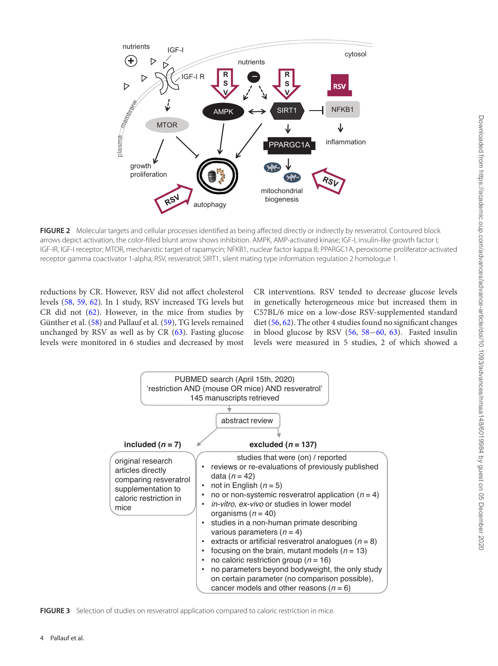

**FIGURE 2** Molecular targets and cellular processes identified as being affected directly or indirectly by resveratrol. Contoured block arrows depict activation, the color-filled blunt arrow shows inhibition. AMPK, AMP-activated kinase; IGF-I, insulin-like growth factor I; IGF-IR, IGF-I receptor; MTOR, mechanistic target of rapamycin; NFKB1, nuclear factor kappa B; PPARGC1A, peroxisome proliferator-activated receptor gamma coactivator 1-alpha; RSV, resveratrol; SIRT1, silent mating type information regulation 2 homologue 1.

reductions by CR. However, RSV did not affect cholesterol levels (58, 59, 62). In 1 study, RSV increased TG levels but CR did not (62). However, in the mice from studies by Günther et al. (58) and Pallauf et al. (59), TG levels remained unchanged by RSV as well as by CR (63). Fasting glucose levels were monitored in 6 studies and decreased by most

CR interventions. RSV tended to decrease glucose levels in genetically heterogeneous mice but increased them in C57BL/6 mice on a low-dose RSV-supplemented standard diet (56, 62). The other 4 studies found no significant changes in blood glucose by RSV (56, 58−60, 63). Fasted insulin levels were measured in 5 studies, 2 of which showed a



**FIGURE 3** Selection of studies on resveratrol application compared to caloric restriction in mice.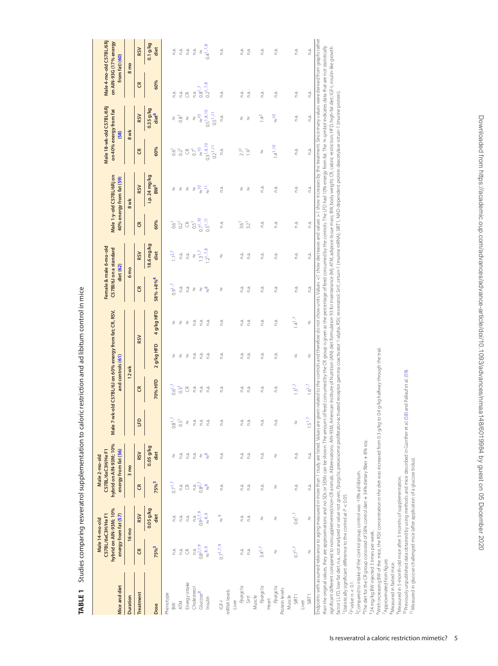| 60%<br>E<br>$0.2^{1.7.8}$<br>$0.8^{1.7}$<br>n.a.<br>n.a.<br>n.a.<br>n.a.<br>n.a.<br>n.a.<br>n.a.<br>n.a.<br>n.a.<br>n.a.<br>F<br>$0.35$ g/kg<br>$0.5^{1,8,10}$<br>$0.5^{1,11}$<br>diet <sup>6</sup><br><b>RSV</b><br>$\frac{8}{2}$<br>$\frac{1}{\alpha}$<br>n.a.<br>n.a.<br>$14^{2}$<br>n.a.<br>0.8<br>∛<br>∛<br>∛<br>∛<br>∛<br>8 wk<br>$0.3^{1,8,10}$<br>$1.4^{1.10}$<br>$0.2^{1.11}$<br>60%<br>$\frac{1}{\sqrt{2}}$<br>n.a.<br>n.a.<br>n.a.<br>E<br>$\mathfrak{S}$<br>$\overline{C}$<br>$\overline{1.9}$<br>0.6<br>$\overline{0}$<br>$\overline{27}$<br>∛<br>i.p. 24 mg/kg<br>BW <sup>5</sup><br><b>RSV</b><br>$\frac{1}{\sqrt{2}}$<br>n.a.<br>$\bar{z}$<br>n.a.<br>n.a.<br>n.a.<br>n.a.<br>∛<br>₹<br>∛<br>∂<br>∛<br>₹<br>8 wk<br>$0.7^{1.10}$<br>$0.5^{1.11}$<br>60%<br>n.a.<br>n.a.<br>n.a.<br>n.a.<br>E<br>$\mathfrak{S}$<br>$0.5^{\mathsf{T}}$<br>n.a.<br>0.6<br>0.2 <sup>1</sup><br>3.2<br>$\frac{1}{3.6}$<br>18.6 mg/kg<br>$12^{1.7.8}$<br>$13^{17}$<br>diet<br><b>RSV</b><br>$1.1^{2.7}$<br>n.a.<br>n.a.<br>n.a.<br>n.a.<br>n.a.<br>n.a.<br>n.a.<br>n.a.<br>$\chi$<br>∛<br>6 <sub>mo</sub><br>$58% + 8%$ <sup>4</sup><br>$0.91$ .7<br>n.a.<br>E<br>n.a.<br>n.a.<br>n.a.<br>n.a.<br>n.a.<br>n.a.<br>g<br>2<br>n.a.<br>∛<br>∛<br>₹<br>4 g/kg HFD<br>$14^{17}$<br>n.a.<br>n.a.<br>n.a.<br>n.a.<br>n.a.<br>n.a.<br>n.a.<br>n.a.<br>2)<br>∛<br>₹<br>₹<br><b>RSV</b><br>2 g/kg HFD<br>n.a.<br>n.a.<br>n.a.<br>n.a.<br>n.a.<br>n.a.<br>n.a.<br>n.a.<br>2)<br>₹<br>∛<br>₹<br>₹<br>$12$ wk<br>70% HFD<br>$1.3^{1.7}$<br>$1.6^{1.7}$<br>$0.6^{1.7}$<br>n.a.<br>E<br>$0.3$ <sup>1</sup><br>$\mathfrak{S}$<br>n.a.<br>n.a.<br>n.a.<br>n.a.<br>n.a.<br>n.a.<br>n.a.<br>$1.5^{1.7}$<br><b>G</b><br>nā.<br>n.a.<br>n.a.<br>n.a.<br>$0.8^{1.7}$<br>n.a.<br>n.a.<br>n.a.<br>n.a.<br>$0.5^{\circ}$<br>$\chi$<br>∛<br>$0.05$ g/kg<br><b>RSV</b><br>diet<br>n.a.<br>n.a.<br>n.a.<br>n.a.<br>n.a.<br>n.a.<br>n.a.<br>$\frac{a}{\sqrt{2}}$<br>n.a.<br>n.a.<br>∛<br>∛<br>∛<br>3 <sub>mo</sub><br>75%3<br>$0.7^{1.7}$<br>$0.8^{2,7}$<br>n.a.<br>n.a.<br>n.a.<br>$\epsilon$<br>n.a.<br>$\mathfrak{S}$<br>n.a.<br>್ನಾ<br>n.a.<br>n.a.<br>n.a.<br>∛<br>$0.05$ g/kg<br>0.927.9<br>$\approx 8.9$<br>$0.6^{1.7}$<br>diet<br><b>RSV</b><br>$\frac{1}{\alpha}$<br>n.a.<br>n.a.<br>n.a.<br>n.a.<br>n.a<br>n.a.<br><sub>2</sub><br>∛<br>₹<br>16 mo<br>$0.7^{1.7.9}$<br>$0.8^{2,7,9}$<br>75% <sup>3</sup><br>$\approx$ 8,9<br>$0.7^{1.7}$<br>$3.4^{1.7}$<br>n.a.<br>n.a.<br>n.a.<br>n.a.<br>E<br>$\mathfrak{S}$<br>n.a.<br>∛<br>∛<br>Energy intake<br>Ppargcla<br>Ppargcia<br>Ppargcla<br>Cholesterol<br>Protein levels<br>mRNAlevels<br>Glucose <sup>8</sup><br><b>Treatment</b><br>Phenotype<br>Muscle<br>SIRT1<br><b>Sirt1</b><br>Muscle<br>SIRT1<br>Duration<br>Heart<br>Insulin<br>Liver<br>Liver<br>$\overline{5}$<br><b>ATM</b><br>$\geqslant$<br>Dose | Mice and diet | hybrid on AIN-93M; 10%<br>C57BL/6xC3H/He F1 | energy from fat (57)<br>Male 14-mo-old | hybrid on AIN-93M; 10%<br>C57BL/6xC3H/He F1<br>energy from fat (56)<br>Male 2-mo-old | and controls (61) | Male 7-wk-old C57BL/6J on 60% energy from fat; CR, RSV, | Female & male 6-mo-old<br>C57Bl/6J on a standard<br>diet (62) |  | Male 1-y-old C57BL/6Rj on<br>40% energy from fat (59) | on 40% energy from fat | Male 18-wk-old C57BL/6Rj<br>(58) | Male 4-mo-old C57BL/6Rj<br>on AIN-93G (17% energy<br>from fat) (60) |
|-------------------------------------------------------------------------------------------------------------------------------------------------------------------------------------------------------------------------------------------------------------------------------------------------------------------------------------------------------------------------------------------------------------------------------------------------------------------------------------------------------------------------------------------------------------------------------------------------------------------------------------------------------------------------------------------------------------------------------------------------------------------------------------------------------------------------------------------------------------------------------------------------------------------------------------------------------------------------------------------------------------------------------------------------------------------------------------------------------------------------------------------------------------------------------------------------------------------------------------------------------------------------------------------------------------------------------------------------------------------------------------------------------------------------------------------------------------------------------------------------------------------------------------------------------------------------------------------------------------------------------------------------------------------------------------------------------------------------------------------------------------------------------------------------------------------------------------------------------------------------------------------------------------------------------------------------------------------------------------------------------------------------------------------------------------------------------------------------------------------------------------------------------------------------------------------------------------------------------------------------------------------------------------------------------------------------------------------------------------------------------------------------------------------------------------------------------------------------------------------------------------------------------------------------------------------------------------------------------------------------------------------------------------------------------------------------------------------------------------------------------------------------------------------------------------------------------------|---------------|---------------------------------------------|----------------------------------------|--------------------------------------------------------------------------------------|-------------------|---------------------------------------------------------|---------------------------------------------------------------|--|-------------------------------------------------------|------------------------|----------------------------------|---------------------------------------------------------------------|
|                                                                                                                                                                                                                                                                                                                                                                                                                                                                                                                                                                                                                                                                                                                                                                                                                                                                                                                                                                                                                                                                                                                                                                                                                                                                                                                                                                                                                                                                                                                                                                                                                                                                                                                                                                                                                                                                                                                                                                                                                                                                                                                                                                                                                                                                                                                                                                                                                                                                                                                                                                                                                                                                                                                                                                                                                                     |               |                                             |                                        |                                                                                      |                   |                                                         |                                                               |  |                                                       |                        |                                  | 8 <sub>mo</sub>                                                     |
|                                                                                                                                                                                                                                                                                                                                                                                                                                                                                                                                                                                                                                                                                                                                                                                                                                                                                                                                                                                                                                                                                                                                                                                                                                                                                                                                                                                                                                                                                                                                                                                                                                                                                                                                                                                                                                                                                                                                                                                                                                                                                                                                                                                                                                                                                                                                                                                                                                                                                                                                                                                                                                                                                                                                                                                                                                     |               |                                             |                                        |                                                                                      |                   |                                                         |                                                               |  |                                                       |                        |                                  | <b>RSV</b>                                                          |
|                                                                                                                                                                                                                                                                                                                                                                                                                                                                                                                                                                                                                                                                                                                                                                                                                                                                                                                                                                                                                                                                                                                                                                                                                                                                                                                                                                                                                                                                                                                                                                                                                                                                                                                                                                                                                                                                                                                                                                                                                                                                                                                                                                                                                                                                                                                                                                                                                                                                                                                                                                                                                                                                                                                                                                                                                                     |               |                                             |                                        |                                                                                      |                   |                                                         |                                                               |  |                                                       |                        |                                  | $0.1$ g/kg<br>diet                                                  |
|                                                                                                                                                                                                                                                                                                                                                                                                                                                                                                                                                                                                                                                                                                                                                                                                                                                                                                                                                                                                                                                                                                                                                                                                                                                                                                                                                                                                                                                                                                                                                                                                                                                                                                                                                                                                                                                                                                                                                                                                                                                                                                                                                                                                                                                                                                                                                                                                                                                                                                                                                                                                                                                                                                                                                                                                                                     |               |                                             |                                        |                                                                                      |                   |                                                         |                                                               |  |                                                       |                        |                                  | n.a.                                                                |
|                                                                                                                                                                                                                                                                                                                                                                                                                                                                                                                                                                                                                                                                                                                                                                                                                                                                                                                                                                                                                                                                                                                                                                                                                                                                                                                                                                                                                                                                                                                                                                                                                                                                                                                                                                                                                                                                                                                                                                                                                                                                                                                                                                                                                                                                                                                                                                                                                                                                                                                                                                                                                                                                                                                                                                                                                                     |               |                                             |                                        |                                                                                      |                   |                                                         |                                                               |  |                                                       |                        |                                  | n.a.                                                                |
|                                                                                                                                                                                                                                                                                                                                                                                                                                                                                                                                                                                                                                                                                                                                                                                                                                                                                                                                                                                                                                                                                                                                                                                                                                                                                                                                                                                                                                                                                                                                                                                                                                                                                                                                                                                                                                                                                                                                                                                                                                                                                                                                                                                                                                                                                                                                                                                                                                                                                                                                                                                                                                                                                                                                                                                                                                     |               |                                             |                                        |                                                                                      |                   |                                                         |                                                               |  |                                                       |                        |                                  | n.a.                                                                |
|                                                                                                                                                                                                                                                                                                                                                                                                                                                                                                                                                                                                                                                                                                                                                                                                                                                                                                                                                                                                                                                                                                                                                                                                                                                                                                                                                                                                                                                                                                                                                                                                                                                                                                                                                                                                                                                                                                                                                                                                                                                                                                                                                                                                                                                                                                                                                                                                                                                                                                                                                                                                                                                                                                                                                                                                                                     |               |                                             |                                        |                                                                                      |                   |                                                         |                                                               |  |                                                       |                        |                                  | n.a.                                                                |
|                                                                                                                                                                                                                                                                                                                                                                                                                                                                                                                                                                                                                                                                                                                                                                                                                                                                                                                                                                                                                                                                                                                                                                                                                                                                                                                                                                                                                                                                                                                                                                                                                                                                                                                                                                                                                                                                                                                                                                                                                                                                                                                                                                                                                                                                                                                                                                                                                                                                                                                                                                                                                                                                                                                                                                                                                                     |               |                                             |                                        |                                                                                      |                   |                                                         |                                                               |  |                                                       |                        |                                  | $\chi$                                                              |
|                                                                                                                                                                                                                                                                                                                                                                                                                                                                                                                                                                                                                                                                                                                                                                                                                                                                                                                                                                                                                                                                                                                                                                                                                                                                                                                                                                                                                                                                                                                                                                                                                                                                                                                                                                                                                                                                                                                                                                                                                                                                                                                                                                                                                                                                                                                                                                                                                                                                                                                                                                                                                                                                                                                                                                                                                                     |               |                                             |                                        |                                                                                      |                   |                                                         |                                                               |  |                                                       |                        |                                  | $0.4^{1,7,8}$                                                       |
|                                                                                                                                                                                                                                                                                                                                                                                                                                                                                                                                                                                                                                                                                                                                                                                                                                                                                                                                                                                                                                                                                                                                                                                                                                                                                                                                                                                                                                                                                                                                                                                                                                                                                                                                                                                                                                                                                                                                                                                                                                                                                                                                                                                                                                                                                                                                                                                                                                                                                                                                                                                                                                                                                                                                                                                                                                     |               |                                             |                                        |                                                                                      |                   |                                                         |                                                               |  |                                                       |                        |                                  | n.a.                                                                |
|                                                                                                                                                                                                                                                                                                                                                                                                                                                                                                                                                                                                                                                                                                                                                                                                                                                                                                                                                                                                                                                                                                                                                                                                                                                                                                                                                                                                                                                                                                                                                                                                                                                                                                                                                                                                                                                                                                                                                                                                                                                                                                                                                                                                                                                                                                                                                                                                                                                                                                                                                                                                                                                                                                                                                                                                                                     |               |                                             |                                        |                                                                                      |                   |                                                         |                                                               |  |                                                       |                        |                                  |                                                                     |
|                                                                                                                                                                                                                                                                                                                                                                                                                                                                                                                                                                                                                                                                                                                                                                                                                                                                                                                                                                                                                                                                                                                                                                                                                                                                                                                                                                                                                                                                                                                                                                                                                                                                                                                                                                                                                                                                                                                                                                                                                                                                                                                                                                                                                                                                                                                                                                                                                                                                                                                                                                                                                                                                                                                                                                                                                                     |               |                                             |                                        |                                                                                      |                   |                                                         |                                                               |  |                                                       |                        |                                  |                                                                     |
|                                                                                                                                                                                                                                                                                                                                                                                                                                                                                                                                                                                                                                                                                                                                                                                                                                                                                                                                                                                                                                                                                                                                                                                                                                                                                                                                                                                                                                                                                                                                                                                                                                                                                                                                                                                                                                                                                                                                                                                                                                                                                                                                                                                                                                                                                                                                                                                                                                                                                                                                                                                                                                                                                                                                                                                                                                     |               |                                             |                                        |                                                                                      |                   |                                                         |                                                               |  |                                                       |                        |                                  | n.a.                                                                |
|                                                                                                                                                                                                                                                                                                                                                                                                                                                                                                                                                                                                                                                                                                                                                                                                                                                                                                                                                                                                                                                                                                                                                                                                                                                                                                                                                                                                                                                                                                                                                                                                                                                                                                                                                                                                                                                                                                                                                                                                                                                                                                                                                                                                                                                                                                                                                                                                                                                                                                                                                                                                                                                                                                                                                                                                                                     |               |                                             |                                        |                                                                                      |                   |                                                         |                                                               |  |                                                       |                        |                                  | n.a.                                                                |
|                                                                                                                                                                                                                                                                                                                                                                                                                                                                                                                                                                                                                                                                                                                                                                                                                                                                                                                                                                                                                                                                                                                                                                                                                                                                                                                                                                                                                                                                                                                                                                                                                                                                                                                                                                                                                                                                                                                                                                                                                                                                                                                                                                                                                                                                                                                                                                                                                                                                                                                                                                                                                                                                                                                                                                                                                                     |               |                                             |                                        |                                                                                      |                   |                                                         |                                                               |  |                                                       |                        |                                  | n.a.                                                                |
|                                                                                                                                                                                                                                                                                                                                                                                                                                                                                                                                                                                                                                                                                                                                                                                                                                                                                                                                                                                                                                                                                                                                                                                                                                                                                                                                                                                                                                                                                                                                                                                                                                                                                                                                                                                                                                                                                                                                                                                                                                                                                                                                                                                                                                                                                                                                                                                                                                                                                                                                                                                                                                                                                                                                                                                                                                     |               |                                             |                                        |                                                                                      |                   |                                                         |                                                               |  |                                                       |                        |                                  | n.a.                                                                |
|                                                                                                                                                                                                                                                                                                                                                                                                                                                                                                                                                                                                                                                                                                                                                                                                                                                                                                                                                                                                                                                                                                                                                                                                                                                                                                                                                                                                                                                                                                                                                                                                                                                                                                                                                                                                                                                                                                                                                                                                                                                                                                                                                                                                                                                                                                                                                                                                                                                                                                                                                                                                                                                                                                                                                                                                                                     |               |                                             |                                        |                                                                                      |                   |                                                         |                                                               |  |                                                       |                        |                                  |                                                                     |
|                                                                                                                                                                                                                                                                                                                                                                                                                                                                                                                                                                                                                                                                                                                                                                                                                                                                                                                                                                                                                                                                                                                                                                                                                                                                                                                                                                                                                                                                                                                                                                                                                                                                                                                                                                                                                                                                                                                                                                                                                                                                                                                                                                                                                                                                                                                                                                                                                                                                                                                                                                                                                                                                                                                                                                                                                                     |               |                                             |                                        |                                                                                      |                   |                                                         |                                                               |  |                                                       |                        |                                  | n.a.                                                                |
|                                                                                                                                                                                                                                                                                                                                                                                                                                                                                                                                                                                                                                                                                                                                                                                                                                                                                                                                                                                                                                                                                                                                                                                                                                                                                                                                                                                                                                                                                                                                                                                                                                                                                                                                                                                                                                                                                                                                                                                                                                                                                                                                                                                                                                                                                                                                                                                                                                                                                                                                                                                                                                                                                                                                                                                                                                     |               |                                             |                                        |                                                                                      |                   |                                                         |                                                               |  |                                                       |                        |                                  |                                                                     |
|                                                                                                                                                                                                                                                                                                                                                                                                                                                                                                                                                                                                                                                                                                                                                                                                                                                                                                                                                                                                                                                                                                                                                                                                                                                                                                                                                                                                                                                                                                                                                                                                                                                                                                                                                                                                                                                                                                                                                                                                                                                                                                                                                                                                                                                                                                                                                                                                                                                                                                                                                                                                                                                                                                                                                                                                                                     |               |                                             |                                        |                                                                                      |                   |                                                         |                                                               |  |                                                       |                        |                                  | n.a.                                                                |

TABLE 1 Studies comparing resveratrol supplementation to caloric restriction and ad libitum control in mice **TABLE 1** Studies comparing resveratrol supplementation to caloric restriction and ad libitum control in mice than the original values, they are approximations and no 5Ds or SEMs can be shown. The Grounce by the CR group is given as the percentage of feed consumed by the contros. The LFD had 10% energy from fat. The ≈ symbol indic than the original values on the amount of Each state in the person in the person in the person on the person on the person consumed by the controls. The bearing the person in the person in the person on state in the are no ignificant offerent compared to nonsulter/kPl Abbreviations AND-938 (when distributed MV), 40N) diet formulation (ANV), ATM, adjects issue mass BW, boldy weight; CR, calculter/concert CR, hesulter-like growth factor (LFD, low-fat diet, n.a., not analyzed or value not visitation analyzed points not ally approped the specificator approximation in the synce prodit applies and proposition of the prodit in the protein. In the protei

<sup>1</sup>Statistically significant difference to the control at P < 0.05  $\frac{1}{2}$ Statistically significant difference to the control at  $P < 0.05$  3Compared to intake of the control group, control was -10% ad libitum.

4The diet for the CR group consisted of 58% control diet + 34% dietary fiber + 8% soy. 524 mg/kg BW injected 3 times per week.

2 pvalue is < 0.1.<br><sup>3</sup>Compared to intake of the control group, control was -10% ad libitum.<br><sup>3</sup>Compared to intake or the consiste of 58% control diet + 34% dietary fiber + 8% soy.<br><sup>5</sup>24 mediet for Winjected 3 in consier we  $^6$ Mith increasing BW of the mice, the RSV concentration in the diet was increased from 0.3 g/kg to 0.4 g/kg halfway through the trial.

' Approximated from figure. 7Approximated from figure.

<sup>3</sup>Measured in fasted mice. 8Measured in fasted mice.

<sup>10</sup> Previously unpublished data obtained by using methods and mice described in Günther et al. (58) and Pallauf et al. (59). 10Previously unpublished data obtained by using methods and mice described in Günther et al. (58) and Pallauf et al. (59). 9 Measured in 5-month-old mice after 3 months of supplementation. 9Measured in 5-month-old mice after 3 months of supplementation.

1 Measured in glucose-challenged mice (after application of a glucose bolus). 11Measured in glucose-challenged mice (after application of a glucose bolus).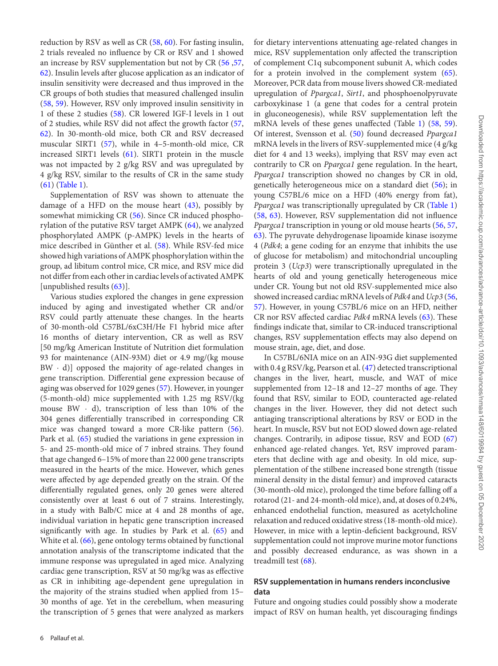reduction by RSV as well as CR (58, 60). For fasting insulin, 2 trials revealed no influence by CR or RSV and 1 showed an increase by RSV supplementation but not by CR (56 ,57, 62). Insulin levels after glucose application as an indicator of insulin sensitivity were decreased and thus improved in the CR groups of both studies that measured challenged insulin (58, 59). However, RSV only improved insulin sensitivity in 1 of these 2 studies (58). CR lowered IGF-I levels in 1 out of 2 studies, while RSV did not affect the growth factor (57, 62). In 30-month-old mice, both CR and RSV decreased muscular SIRT1 (57), while in 4–5-month-old mice, CR increased SIRT1 levels (61). SIRT1 protein in the muscle was not impacted by 2 g/kg RSV and was upregulated by 4 g/kg RSV, similar to the results of CR in the same study (61) (Table 1).

Supplementation of RSV was shown to attenuate the damage of a HFD on the mouse heart  $(43)$ , possibly by somewhat mimicking CR (56). Since CR induced phosphorylation of the putative RSV target AMPK (64), we analyzed phosphorylated AMPK (p-AMPK) levels in the hearts of mice described in Günther et al. (58). While RSV-fed mice showed high variations of AMPK phosphorylation within the group, ad libitum control mice, CR mice, and RSV mice did not differ from each other in cardiac levels of activated AMPK [unpublished results (63)].

Various studies explored the changes in gene expression induced by aging and investigated whether CR and/or RSV could partly attenuate these changes. In the hearts of 30-month-old C57BL/6xC3H/He F1 hybrid mice after 16 months of dietary intervention, CR as well as RSV [50 mg/kg American Institute of Nutrition diet formulation 93 for maintenance (AIN-93M) diet or 4.9 mg/(kg mouse  $BW \cdot d$ ) opposed the majority of age-related changes in gene transcription. Differential gene expression because of aging was observed for 1029 genes (57). However, in younger (5-month-old) mice supplemented with 1.25 mg RSV/(kg mouse BW  $\cdot$  d), transcription of less than 10% of the 304 genes differentially transcribed in corresponding CR mice was changed toward a more CR-like pattern (56). Park et al. (65) studied the variations in gene expression in 5- and 25-month-old mice of 7 inbred strains. They found that age changed 6–15% of more than 22 000 gene transcripts measured in the hearts of the mice. However, which genes were affected by age depended greatly on the strain. Of the differentially regulated genes, only 20 genes were altered consistently over at least 6 out of 7 strains. Interestingly, in a study with Balb/C mice at 4 and 28 months of age, individual variation in hepatic gene transcription increased significantly with age. In studies by Park et al. (65) and White et al. (66), gene ontology terms obtained by functional annotation analysis of the transcriptome indicated that the immune response was upregulated in aged mice. Analyzing cardiac gene transcription, RSV at 50 mg/kg was as effective as CR in inhibiting age-dependent gene upregulation in the majority of the strains studied when applied from 15– 30 months of age. Yet in the cerebellum, when measuring the transcription of 5 genes that were analyzed as markers

for dietary interventions attenuating age-related changes in mice, RSV supplementation only affected the transcription of complement C1q subcomponent subunit A, which codes for a protein involved in the complement system (65). Moreover, PCR data from mouse livers showed CR-mediated upregulation of Ppargca1, Sirt1, and phosphoenolpyruvate carboxykinase 1 (a gene that codes for a central protein in gluconeogenesis), while RSV supplementation left the mRNA levels of these genes unaffected (Table 1) (58, 59). Of interest, Svensson et al. (50) found decreased Ppargca1 mRNA levels in the livers of RSV-supplemented mice (4 g/kg diet for 4 and 13 weeks), implying that RSV may even act contrarily to CR on Ppargca1 gene regulation. In the heart, Ppargca1 transcription showed no changes by CR in old, genetically heterogeneous mice on a standard diet (56); in young C57BL/6 mice on a HFD (40% energy from fat), Ppargca1 was transcriptionally upregulated by CR (Table 1) (58, 63). However, RSV supplementation did not influence Ppargca1 transcription in young or old mouse hearts (56, 57, 63). The pyruvate dehydrogenase lipoamide kinase isozyme 4 (Pdk4; a gene coding for an enzyme that inhibits the use of glucose for metabolism) and mitochondrial uncoupling protein 3 (Ucp3) were transcriptionally upregulated in the hearts of old and young genetically heterogeneous mice under CR. Young but not old RSV-supplemented mice also showed increased cardiac mRNA levels of Pdk4 and Ucp3 (56, 57). However, in young C57BL/6 mice on an HFD, neither CR nor RSV affected cardiac Pdk4 mRNA levels (63). These findings indicate that, similar to CR-induced transcriptional changes, RSV supplementation effects may also depend on mouse strain, age, diet, and dose.

In C57BL/6NIA mice on an AIN-93G diet supplemented with 0.4 g RSV/kg, Pearson et al. (47) detected transcriptional changes in the liver, heart, muscle, and WAT of mice supplemented from 12–18 and 12–27 months of age. They found that RSV, similar to EOD, counteracted age-related changes in the liver. However, they did not detect such antiaging transcriptional alterations by RSV or EOD in the heart. In muscle, RSV but not EOD slowed down age-related changes. Contrarily, in adipose tissue, RSV and EOD (67) enhanced age-related changes. Yet, RSV improved parameters that decline with age and obesity. In old mice, supplementation of the stilbene increased bone strength (tissue mineral density in the distal femur) and improved cataracts (30-month-old mice), prolonged the time before falling off a rotarod (21- and 24-month-old mice), and, at doses of 0.24%, enhanced endothelial function, measured as acetylcholine relaxation and reduced oxidative stress (18-month-old mice). However, in mice with a leptin-deficient background, RSV supplementation could not improve murine motor functions and possibly decreased endurance, as was shown in a treadmill test (68).

# **RSV supplementation in humans renders inconclusive data**

Future and ongoing studies could possibly show a moderate impact of RSV on human health, yet discouraging findings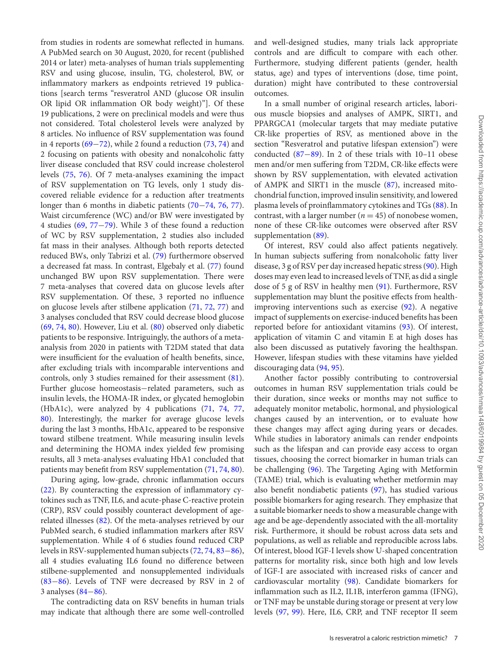from studies in rodents are somewhat reflected in humans. A PubMed search on 30 August, 2020, for recent (published 2014 or later) meta-analyses of human trials supplementing RSV and using glucose, insulin, TG, cholesterol, BW, or inflammatory markers as endpoints retrieved 19 publications [search terms "resveratrol AND (glucose OR insulin OR lipid OR inflammation OR body weight)"]. Of these 19 publications, 2 were on preclinical models and were thus not considered. Total cholesterol levels were analyzed by 8 articles. No influence of RSV supplementation was found in 4 reports (69−72), while 2 found a reduction (73, 74) and 2 focusing on patients with obesity and nonalcoholic fatty liver disease concluded that RSV could increase cholesterol levels (75, 76). Of 7 meta-analyses examining the impact of RSV supplementation on TG levels, only 1 study discovered reliable evidence for a reduction after treatments longer than 6 months in diabetic patients (70−74, 76, 77). Waist circumference (WC) and/or BW were investigated by 4 studies (69, 77−79). While 3 of these found a reduction of WC by RSV supplementation, 2 studies also included fat mass in their analyses. Although both reports detected reduced BWs, only Tabrizi et al. (79) furthermore observed a decreased fat mass. In contrast, Elgebaly et al. (77) found unchanged BW upon RSV supplementation. There were 7 meta-analyses that covered data on glucose levels after RSV supplementation. Of these, 3 reported no influence on glucose levels after stilbene application (71, 72, 77) and 3 analyses concluded that RSV could decrease blood glucose (69, 74, 80). However, Liu et al. (80) observed only diabetic patients to be responsive. Intriguingly, the authors of a metaanalysis from 2020 in patients with T2DM stated that data were insufficient for the evaluation of health benefits, since, after excluding trials with incomparable interventions and controls, only 3 studies remained for their assessment (81). Further glucose homeostasis−related parameters, such as insulin levels, the HOMA-IR index, or glycated hemoglobin (HbA1c), were analyzed by 4 publications (71, 74, 77, 80). Interestingly, the marker for average glucose levels during the last 3 months, HbA1c, appeared to be responsive toward stilbene treatment. While measuring insulin levels and determining the HOMA index yielded few promising results, all 3 meta-analyses evaluating HbA1 concluded that patients may benefit from RSV supplementation (71, 74, 80). During aging, low-grade, chronic inflammation occurs

(22). By counteracting the expression of inflammatory cytokines such as TNF, IL6, and acute-phase C-reactive protein (CRP), RSV could possibly counteract development of agerelated illnesses (82). Of the meta-analyses retrieved by our PubMed search, 6 studied inflammation markers after RSV supplementation. While 4 of 6 studies found reduced CRP levels in RSV-supplemented human subjects (72, 74, 83−86), all 4 studies evaluating IL6 found no difference between stilbene-supplemented and nonsupplemented individuals (83−86). Levels of TNF were decreased by RSV in 2 of 3 analyses (84−86).

The contradicting data on RSV benefits in human trials may indicate that although there are some well-controlled

and well-designed studies, many trials lack appropriate controls and are difficult to compare with each other. Furthermore, studying different patients (gender, health status, age) and types of interventions (dose, time point, duration) might have contributed to these controversial outcomes.

In a small number of original research articles, laborious muscle biopsies and analyses of AMPK, SIRT1, and PPARGCA1 (molecular targets that may mediate putative CR-like properties of RSV, as mentioned above in the section "Resveratrol and putative lifespan extension") were conducted (87−89). In 2 of these trials with 10–11 obese men and/or men suffering from T2DM, CR-like effects were shown by RSV supplementation, with elevated activation of AMPK and SIRT1 in the muscle (87), increased mitochondrial function, improved insulin sensitivity, and lowered plasma levels of proinflammatory cytokines and TGs (88). In contrast, with a larger number ( $n = 45$ ) of nonobese women, none of these CR-like outcomes were observed after RSV supplementation (89).

Of interest, RSV could also affect patients negatively. In human subjects suffering from nonalcoholic fatty liver disease, 3 g of RSV per day increased hepatic stress (90). High doses may even lead to increased levels of TNF, as did a single dose of 5 g of RSV in healthy men (91). Furthermore, RSV supplementation may blunt the positive effects from healthimproving interventions such as exercise (92). A negative impact of supplements on exercise-induced benefits has been reported before for antioxidant vitamins (93). Of interest, application of vitamin C and vitamin E at high doses has also been discussed as putatively favoring the healthspan. However, lifespan studies with these vitamins have yielded discouraging data (94, 95).

Another factor possibly contributing to controversial outcomes in human RSV supplementation trials could be their duration, since weeks or months may not suffice to adequately monitor metabolic, hormonal, and physiological changes caused by an intervention, or to evaluate how these changes may affect aging during years or decades. While studies in laboratory animals can render endpoints such as the lifespan and can provide easy access to organ tissues, choosing the correct biomarker in human trials can be challenging (96). The Targeting Aging with Metformin (TAME) trial, which is evaluating whether metformin may also benefit nondiabetic patients (97), has studied various possible biomarkers for aging research. They emphasize that a suitable biomarker needs to show a measurable change with age and be age-dependently associated with the all-mortality risk. Furthermore, it should be robust across data sets and populations, as well as reliable and reproducible across labs. Of interest, blood IGF-I levels show U-shaped concentration patterns for mortality risk, since both high and low levels of IGF-I are associated with increased risks of cancer and cardiovascular mortality (98). Candidate biomarkers for inflammation such as IL2, IL1B, interferon gamma (IFNG), or TNF may be unstable during storage or present at very low levels (97, 99). Here, IL6, CRP, and TNF receptor II seem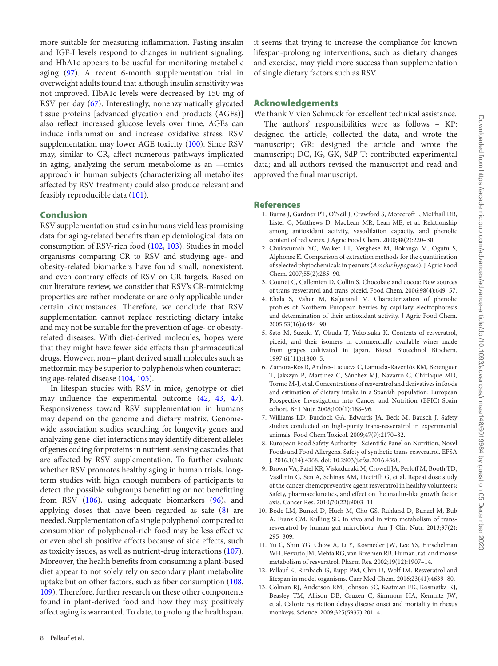more suitable for measuring inflammation. Fasting insulin and IGF-I levels respond to changes in nutrient signaling, and HbA1c appears to be useful for monitoring metabolic aging (97). A recent 6-month supplementation trial in overweight adults found that although insulin sensitivity was not improved, HbA1c levels were decreased by 150 mg of RSV per day (67). Interestingly, nonenzymatically glycated tissue proteins [advanced glycation end products (AGEs)] also reflect increased glucose levels over time. AGEs can induce inflammation and increase oxidative stress. RSV supplementation may lower AGE toxicity (100). Since RSV may, similar to CR, affect numerous pathways implicated in aging, analyzing the serum metabolome as an —omics approach in human subjects (characterizing all metabolites affected by RSV treatment) could also produce relevant and feasibly reproducible data (101).

### Conclusion

RSV supplementation studies in humans yield less promising data for aging-related benefits than epidemiological data on consumption of RSV-rich food (102, 103). Studies in model organisms comparing CR to RSV and studying age- and obesity-related biomarkers have found small, nonexistent, and even contrary effects of RSV on CR targets. Based on our literature review, we consider that RSV's CR-mimicking properties are rather moderate or are only applicable under certain circumstances. Therefore, we conclude that RSV supplementation cannot replace restricting dietary intake and may not be suitable for the prevention of age- or obesityrelated diseases. With diet-derived molecules, hopes were that they might have fewer side effects than pharmaceutical drugs. However, non−plant derived small molecules such as metformin may be superior to polyphenols when counteracting age-related disease (104, 105).

In lifespan studies with RSV in mice, genotype or diet may influence the experimental outcome (42, 43, 47). Responsiveness toward RSV supplementation in humans may depend on the genome and dietary matrix. Genomewide association studies searching for longevity genes and analyzing gene-diet interactions may identify different alleles of genes coding for proteins in nutrient-sensing cascades that are affected by RSV supplementation. To further evaluate whether RSV promotes healthy aging in human trials, longterm studies with high enough numbers of participants to detect the possible subgroups benefitting or not benefitting from RSV (106), using adequate biomarkers (96), and applying doses that have been regarded as safe (8) are needed. Supplementation of a single polyphenol compared to consumption of polyphenol-rich food may be less effective or even abolish positive effects because of side effects, such as toxicity issues, as well as nutrient-drug interactions (107). Moreover, the health benefits from consuming a plant-based diet appear to not solely rely on secondary plant metabolite uptake but on other factors, such as fiber consumption (108, 109). Therefore, further research on these other components found in plant-derived food and how they may positively affect aging is warranted. To date, to prolong the healthspan,

it seems that trying to increase the compliance for known lifespan-prolonging interventions, such as dietary changes and exercise, may yield more success than supplementation of single dietary factors such as RSV.

# Acknowledgements

We thank Vivien Schmuck for excellent technical assistance.

The authors' responsibilities were as follows – KP: designed the article, collected the data, and wrote the manuscript; GR: designed the article and wrote the manuscript; DC, IG, GK, SdP-T: contributed experimental data; and all authors revised the manuscript and read and approved the final manuscript.

# **References**

- 1. Burns J, Gardner PT, O'Neil J, Crawford S, Morecroft I, McPhail DB, Lister C, Matthews D, MacLean MR, Lean ME, et al. Relationship among antioxidant activity, vasodilation capacity, and phenolic content of red wines. J Agric Food Chem. 2000;48(2):220–30.
- 2. Chukwumah YC, Walker LT, Verghese M, Bokanga M, Ogutu S, Alphonse K. Comparison of extraction methods for the quantification of selected phytochemicals in peanuts (Arachis hypogaea). J Agric Food Chem. 2007;55(2):285–90.
- 3. Counet C, Callemien D, Collin S. Chocolate and cocoa: New sources of trans-resveratrol and trans-piceid. Food Chem. 2006;98(4):649–57.
- 4. Ehala S, Vaher M, Kaljurand M. Characterization of phenolic profiles of Northern European berries by capillary electrophoresis and determination of their antioxidant activity. J Agric Food Chem. 2005;53(16):6484–90.
- 5. Sato M, Suzuki Y, Okuda T, Yokotsuka K. Contents of resveratrol, piceid, and their isomers in commercially available wines made from grapes cultivated in Japan. Biosci Biotechnol Biochem. 1997;61(11):1800–5.
- 6. Zamora-Ros R, Andres-Lacueva C, Lamuela-Raventós RM, Berenguer T, Jakszyn P, Martínez C, Sánchez MJ, Navarro C, Chirlaque MD, Tormo M-J, et al. Concentrations of resveratrol and derivatives in foods and estimation of dietary intake in a Spanish population: European Prospective Investigation into Cancer and Nutrition (EPIC)-Spain cohort. Br J Nutr. 2008;100(1):188–96.
- 7. Williams LD, Burdock GA, Edwards JA, Beck M, Bausch J. Safety studies conducted on high-purity trans-resveratrol in experimental animals. Food Chem Toxicol. 2009;47(9):2170–82.
- 8. European Food Safety Authority Scientific Panel on Nutrition, Novel Foods and Food Allergens. Safety of synthetic trans-resveratrol. EFSA J. 2016;1(14):4368. doi: 10.2903/j.efsa.2016.4368.
- 9. Brown VA, Patel KR, Viskaduraki M, Crowell JA, Perloff M, Booth TD, Vasilinin G, Sen A, Schinas AM, Piccirilli G, et al. Repeat dose study of the cancer chemopreventive agent resveratrol in healthy volunteers: Safety, pharmacokinetics, and effect on the insulin-like growth factor axis. Cancer Res. 2010;70(22):9003–11.
- 10. Bode LM, Bunzel D, Huch M, Cho GS, Ruhland D, Bunzel M, Bub A, Franz CM, Kulling SE. In vivo and in vitro metabolism of transresveratrol by human gut microbiota. Am J Clin Nutr. 2013;97(2): 295–309.
- 11. Yu C, Shin YG, Chow A, Li Y, Kosmeder JW, Lee YS, Hirschelman WH, Pezzuto JM, Mehta RG, van Breemen RB. Human, rat, and mouse metabolism of resveratrol. Pharm Res. 2002;19(12):1907–14.
- 12. Pallauf K, Rimbach G, Rupp PM, Chin D, Wolf IM. Resveratrol and lifespan in model organisms. Curr Med Chem. 2016;23(41):4639–80.
- 13. Colman RJ, Anderson RM, Johnson SC, Kastman EK, Kosmatka KJ, Beasley TM, Allison DB, Cruzen C, Simmons HA, Kemnitz JW, et al. Caloric restriction delays disease onset and mortality in rhesus monkeys. Science. 2009;325(5937):201–4.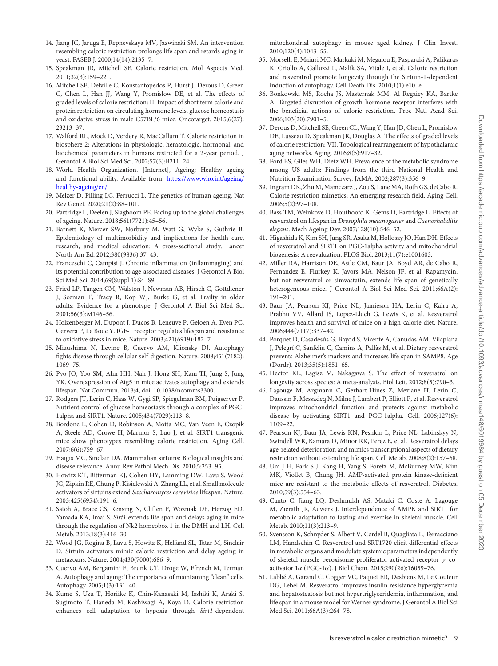- 14. Jiang JC, Jaruga E, Repnevskaya MV, Jazwinski SM. An intervention resembling caloric restriction prolongs life span and retards aging in yeast. FASEB J. 2000;14(14):2135–7.
- 15. Speakman JR, Mitchell SE. Caloric restriction. Mol Aspects Med. 2011;32(3):159–221.
- 16. Mitchell SE, Delville C, Konstantopedos P, Hurst J, Derous D, Green C, Chen L, Han JJ, Wang Y, Promislow DE, et al. The effects of graded levels of calorie restriction: II. Impact of short term calorie and protein restriction on circulating hormone levels, glucose homeostasis and oxidative stress in male C57BL/6 mice. Oncotarget. 2015;6(27): 23213–37.
- 17. Walford RL, Mock D, Verdery R, MacCallum T. Calorie restriction in biosphere 2: Alterations in physiologic, hematologic, hormonal, and biochemical parameters in humans restricted for a 2-year period. J Gerontol A Biol Sci Med Sci. 2002;57(6):B211–24.
- 18. World Health Organization. [Internet], Ageing: Healthy ageing and functional ability. Available from: https://www.who.int/ageing/ healthy-ageing/en/.
- 19. Melzer D, Pilling LC, Ferrucci L. The genetics of human ageing. Nat Rev Genet. 2020;21(2):88–101.
- 20. Partridge L, Deelen J, Slagboom PE. Facing up to the global challenges of ageing. Nature. 2018;561(7721):45–56.
- 21. Barnett K, Mercer SW, Norbury M, Watt G, Wyke S, Guthrie B. Epidemiology of multimorbidity and implications for health care, research, and medical education: A cross-sectional study. Lancet North Am Ed. 2012;380(9836):37–43.
- 22. Franceschi C, Campisi J. Chronic inflammation (inflammaging) and its potential contribution to age-associated diseases. J Gerontol A Biol Sci Med Sci. 2014;69(Suppl 1):S4–S9.
- 23. Fried LP, Tangen CM, Walston J, Newman AB, Hirsch C, Gottdiener J, Seeman T, Tracy R, Kop WJ, Burke G, et al. Frailty in older adults: Evidence for a phenotype. J Gerontol A Biol Sci Med Sci 2001;56(3):M146–56.
- 24. Holzenberger M, Dupont J, Ducos B, Leneuve P, Geloen A, Even PC, Cervera P, Le Bouc Y. IGF-1 receptor regulates lifespan and resistance to oxidative stress in mice. Nature. 2003;421(6919):182–7.
- 25. Mizushima N, Levine B, Cuervo AM, Klionsky DJ. Autophagy fights disease through cellular self-digestion. Nature. 2008;451(7182): 1069–75.
- 26. Pyo JO, Yoo SM, Ahn HH, Nah J, Hong SH, Kam TI, Jung S, Jung YK. Overexpression of Atg5 in mice activates autophagy and extends lifespan. Nat Commun. 2013;4, doi: 10.1038/ncomms3300.
- 27. Rodgers JT, Lerin C, Haas W, Gygi SP, Spiegelman BM, Puigserver P. Nutrient control of glucose homeostasis through a complex of PGC-1alpha and SIRT1. Nature. 2005;434(7029):113–8.
- 28. Bordone L, Cohen D, Robinson A, Motta MC, Van Veen E, Czopik A, Steele AD, Crowe H, Marmor S, Luo J, et al. SIRT1 transgenic mice show phenotypes resembling calorie restriction. Aging Cell. 2007;6(6):759–67.
- 29. Haigis MC, Sinclair DA. Mammalian sirtuins: Biological insights and disease relevance. Annu Rev Pathol Mech Dis. 2010;5:253–95.
- 30. Howitz KT, Bitterman KJ, Cohen HY, Lamming DW, Lavu S, Wood JG, Zipkin RE, Chung P, Kisielewski A, Zhang LL, et al. Small molecule activators of sirtuins extend Saccharomyces cerevisiae lifespan. Nature. 2003;425(6954):191–6.
- 31. Satoh A, Brace CS, Rensing N, Cliften P, Wozniak DF, Herzog ED, Yamada KA, Imai S. Sirt1 extends life span and delays aging in mice through the regulation of Nk2 homeobox 1 in the DMH and LH. Cell Metab. 2013;18(3):416–30.
- 32. Wood JG, Rogina B, Lavu S, Howitz K, Helfand SL, Tatar M, Sinclair D. Sirtuin activators mimic caloric restriction and delay ageing in metazoans. Nature. 2004;430(7000):686–9.
- 33. Cuervo AM, Bergamini E, Brunk UT, Droge W, Ffrench M, Terman A. Autophagy and aging: The importance of maintaining "clean" cells. Autophagy. 2005;1(3):131–40.
- 34. Kume S, Uzu T, Horiike K, Chin-Kanasaki M, Isshiki K, Araki S, Sugimoto T, Haneda M, Kashiwagi A, Koya D. Calorie restriction enhances cell adaptation to hypoxia through Sirt1-dependent

mitochondrial autophagy in mouse aged kidney. J Clin Invest. 2010;120(4):1043–55.

- 35. Morselli E, Maiuri MC, Markaki M, Megalou E, Pasparaki A, Palikaras K, Criollo A, Galluzzi L, Malik SA, Vitale I, et al. Caloric restriction and resveratrol promote longevity through the Sirtuin-1-dependent induction of autophagy. Cell Death Dis. 2010;1(1):e10–e.
- 36. Bonkowski MS, Rocha JS, Masternak MM, Al Regaiey KA, Bartke A. Targeted disruption of growth hormone receptor interferes with the beneficial actions of calorie restriction. Proc Natl Acad Sci. 2006;103(20):7901–5.
- 37. Derous D, Mitchell SE, Green CL, Wang Y, Han JD, Chen L, Promislow DE, Lusseau D, Speakman JR, Douglas A. The effects of graded levels of calorie restriction: VII. Topological rearrangement of hypothalamic aging networks. Aging. 2016;8(5):917–32.
- 38. Ford ES, Giles WH, Dietz WH. Prevalence of the metabolic syndrome among US adults: Findings from the third National Health and Nutrition Examination Survey. JAMA. 2002;287(3):356–9.
- 39. Ingram DK, Zhu M, Mamczarz J, Zou S, Lane MA, Roth GS, deCabo R. Calorie restriction mimetics: An emerging research field. Aging Cell. 2006;5(2):97–108.
- 40. Bass TM, Weinkove D, Houthoofd K, Gems D, Partridge L. Effects of resveratrol on lifespan in Drosophila melanogaster and Caenorhabditis elegans. Mech Ageing Dev. 2007;128(10):546–52.
- 41. Higashida K, Kim SH, Jung SR, Asaka M, Holloszy JO, Han DH. Effects of resveratrol and SIRT1 on PGC-1alpha activity and mitochondrial biogenesis: A reevaluation. PLOS Biol. 2013;11(7):e1001603.
- 42. Miller RA, Harrison DE, Astle CM, Baur JA, Boyd AR, de Cabo R, Fernandez E, Flurkey K, Javors MA, Nelson JF, et al. Rapamycin, but not resveratrol or simvastatin, extends life span of genetically heterogeneous mice. J Gerontol A Biol Sci Med Sci. 2011;66A(2): 191–201.
- 43. Baur JA, Pearson KJ, Price NL, Jamieson HA, Lerin C, Kalra A, Prabhu VV, Allard JS, Lopez-Lluch G, Lewis K, et al. Resveratrol improves health and survival of mice on a high-calorie diet. Nature. 2006;444(7117):337–42.
- 44. Porquet D, Casadesús G, Bayod S, Vicente A, Canudas AM, Vilaplana J, Pelegrí C, Sanfeliu C, Camins A, Pallàs M, et al. Dietary resveratrol prevents Alzheimer's markers and increases life span in SAMP8. Age (Dordr). 2013;35(5):1851–65.
- 45. Hector KL, Lagisz M, Nakagawa S. The effect of resveratrol on longevity across species: A meta-analysis. Biol Lett. 2012;8(5):790–3.
- 46. Lagouge M, Argmann C, Gerhart-Hines Z, Meziane H, Lerin C, Daussin F, Messadeq N, Milne J, Lambert P, Elliott P, et al. Resveratrol improves mitochondrial function and protects against metabolic disease by activating SIRT1 and PGC-1alpha. Cell. 2006;127(6): 1109–22.
- 47. Pearson KJ, Baur JA, Lewis KN, Peshkin L, Price NL, Labinskyy N, Swindell WR, Kamara D, Minor RK, Perez E, et al. Resveratrol delays age-related deterioration and mimics transcriptional aspects of dietary restriction without extending life span. Cell Metab. 2008;8(2):157–68.
- 48. Um J-H, Park S-J, Kang H, Yang S, Foretz M, McBurney MW, Kim MK, Viollet B, Chung JH. AMP-activated protein kinase-deficient mice are resistant to the metabolic effects of resveratrol. Diabetes. 2010;59(3):554–63.
- 49. Canto C, Jiang LQ, Deshmukh AS, Mataki C, Coste A, Lagouge M, Zierath JR, Auwerx J. Interdependence of AMPK and SIRT1 for metabolic adaptation to fasting and exercise in skeletal muscle. Cell Metab. 2010;11(3):213–9.
- 50. Svensson K, Schnyder S, Albert V, Cardel B, Quagliata L, Terracciano LM, Handschin C. Resveratrol and SRT1720 elicit differential effects in metabolic organs and modulate systemic parameters independently of skeletal muscle peroxisome proliferator-activated receptor γ coactivator 1α (PGC-1α). J Biol Chem. 2015;290(26):16059–76.
- 51. Labbé A, Garand C, Cogger VC, Paquet ER, Desbiens M, Le Couteur DG, Lebel M. Resveratrol improves insulin resistance hyperglycemia and hepatosteatosis but not hypertriglyceridemia, inflammation, and life span in a mouse model for Werner syndrome. J Gerontol A Biol Sci Med Sci. 2011;66A(3):264–78.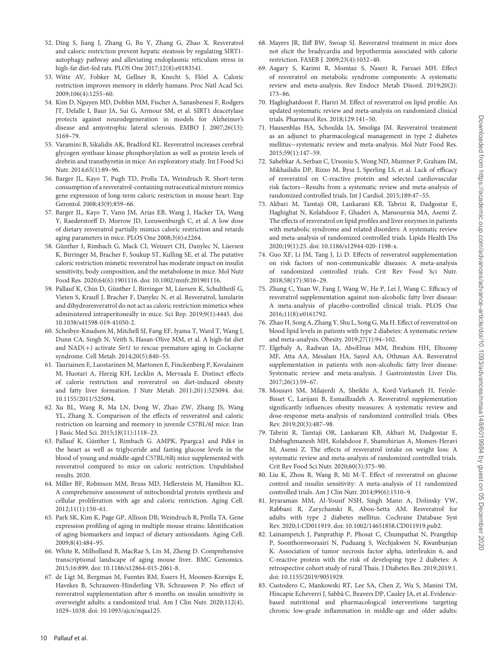- 52. Ding S, Jiang J, Zhang G, Bu Y, Zhang G, Zhao X. Resveratrol and caloric restriction prevent hepatic steatosis by regulating SIRT1 autophagy pathway and alleviating endoplasmic reticulum stress in high-fat diet-fed rats. PLOS One 2017;12(8):e0183541.
- 53. Witte AV, Fobker M, Gellner R, Knecht S, Flöel A. Caloric restriction improves memory in elderly humans. Proc Natl Acad Sci. 2009;106(4):1255–60.
- 54. Kim D, Nguyen MD, Dobbin MM, Fischer A, Sananbenesi F, Rodgers JT, Delalle I, Baur JA, Sui G, Armour SM, et al. SIRT1 deacetylase protects against neurodegeneration in models for Alzheimer's disease and amyotrophic lateral sclerosis. EMBO J. 2007;26(13): 3169–79.
- 55. Varamini B, Sikalidis AK, Bradford KL. Resveratrol increases cerebral glycogen synthase kinase phosphorylation as well as protein levels of drebrin and transthyretin in mice: An exploratory study. Int J Food Sci Nutr. 2014;65(1):89–96.
- 56. Barger JL, Kayo T, Pugh TD, Prolla TA, Weindruch R. Short-term consumption of a resveratrol-containing nutraceutical mixture mimics gene expression of long-term caloric restriction in mouse heart. Exp Gerontol. 2008;43(9):859–66.
- 57. Barger JL, Kayo T, Vann JM, Arias EB, Wang J, Hacker TA, Wang Y, Raederstorff D, Morrow JD, Leeuwenburgh C, et al. A low dose of dietary resveratrol partially mimics caloric restriction and retards aging parameters in mice. PLOS One 2008;3(6):e2264.
- 58. Günther I, Rimbach G, Mack CI, Weinert CH, Danylec N, Lüersen K, Birringer M, Bracher F, Soukup ST, Kulling SE, et al. The putative caloric restriction mimetic resveratrol has moderate impact on insulin sensitivity, body composition, and the metabolome in mice. Mol Nutr Food Res. 2020;64(6):1901116. doi: 10.1002/mnfr.201901116.
- 59. Pallauf K, Chin D, Günther I, Birringer M, Lüersen K, Schultheiß G, Vieten S, Krauß J, Bracher F, Danylec N, et al. Resveratrol, lunularin and dihydroresveratrol do not act as caloric restriction mimetics when administered intraperitoneally in mice. Sci Rep. 2019;9(1):4445. doi: 10.1038/s41598-019-41050-2.
- 60. Scheibye-Knudsen M, Mitchell SJ, Fang EF, Iyama T, Ward T, Wang J, Dunn CA, Singh N, Veith S, Hasan-Olive MM, et al. A high-fat diet and  $NAD(+)$  activate Sirt1 to rescue premature aging in Cockayne syndrome. Cell Metab. 2014;20(5):840–55.
- 61. Tauriainen E, Luostarinen M, Martonen E, Finckenberg P, Kovalainen M, Huotari A, Herzig KH, Lecklin A, Mervaala E. Distinct effects of calorie restriction and resveratrol on diet-induced obesity and fatty liver formation. J Nutr Metab. 2011;2011:525094. doi: 10.1155/2011/525094.
- 62. Xu BL, Wang R, Ma LN, Dong W, Zhao ZW, Zhang JS, Wang YL, Zhang X. Comparison of the effects of resveratrol and caloric restriction on learning and memory in juvenile C57BL/6J mice. Iran J Basic Med Sci. 2015;18(11):1118–23.
- 63. Pallauf K, Günther I, Rimbach G. AMPK, Ppargca1 and Pdk4 in the heart as well as triglyceride and fasting glucose levels in the blood of young and middle-aged C57BL/6Rj mice supplemented with resveratrol compared to mice on caloric restriction. Unpublished results. 2020.
- 64. Miller BF, Robinson MM, Bruss MD, Hellerstein M, Hamilton KL. A comprehensive assessment of mitochondrial protein synthesis and cellular proliferation with age and caloric restriction. Aging Cell. 2012;11(1):150–61.
- 65. Park SK, Kim K, Page GP, Allison DB, Weindruch R, Prolla TA. Gene expression profiling of aging in multiple mouse strains: Identification of aging biomarkers and impact of dietary antioxidants. Aging Cell. 2009;8(4):484–95.
- 66. White R, Milholland B, MacRae S, Lin M, Zheng D. Comprehensive transcriptional landscape of aging mouse liver. BMC Genomics. 2015;16:899. doi: 10.1186/s12864-015-2061-8.
- 67. de Ligt M, Bergman M, Fuentes RM, Essers H, Moonen-Kornips E, Havekes B, Schrauwen-Hinderling VB, Schrauwen P. No effect of resveratrol supplementation after 6 months on insulin sensitivity in overweight adults: a randomized trial. Am J Clin Nutr. 2020;112(4), 1029–1038. doi: 10.1093/ajcn/nqaa125.
- 68. Mayers JR, Iliff BW, Swoap SJ. Resveratrol treatment in mice does not elicit the bradycardia and hypothermia associated with calorie restriction. FASEB J. 2009;23(4):1032–40.
- 69. Asgary S, Karimi R, Momtaz S, Naseri R, Farzaei MH. Effect of resveratrol on metabolic syndrome components: A systematic review and meta-analysis. Rev Endocr Metab Disord. 2019;20(2): 173–86.
- 70. Haghighatdoost F, Hariri M. Effect of resveratrol on lipid profile: An updated systematic review and meta-analysis on randomized clinical trials. Pharmacol Res. 2018;129:141–50.
- 71. Hausenblas HA, Schoulda JA, Smoliga JM. Resveratrol treatment as an adjunct to pharmacological management in type 2 diabetes mellitus−systematic review and meta-analysis. Mol Nutr Food Res. 2015;59(1):147–59.
- 72. Sahebkar A, Serban C, Ursoniu S, Wong ND, Muntner P, Graham IM, Mikhailidis DP, Rizzo M, Rysz J, Sperling LS, et al. Lack of efficacy of resveratrol on C-reactive protein and selected cardiovascular risk factors−Results from a systematic review and meta-analysis of randomized controlled trials. Int J Cardiol. 2015;189:47–55.
- 73. Akbari M, Tamtaji OR, Lankarani KB, Tabrizi R, Dadgostar E, Haghighat N, Kolahdooz F, Ghaderi A, Mansournia MA, Asemi Z. The effects of resveratrol on lipid profiles and liver enzymes in patients with metabolic syndrome and related disorders: A systematic review and meta-analysis of randomized controlled trials. Lipids Health Dis 2020;19(1):25. doi: 10.1186/s12944-020-1198-x.
- 74. Guo XF, Li JM, Tang J, Li D. Effects of resveratrol supplementation on risk factors of non-communicable diseases: A meta-analysis of randomized controlled trials. Crit Rev Food Sci Nutr. 2018;58(17):3016–29.
- 75. Zhang C, Yuan W, Fang J, Wang W, He P, Lei J, Wang C. Efficacy of resveratrol supplementation against non-alcoholic fatty liver disease: A meta-analysis of placebo-controlled clinical trials. PLOS One 2016;11(8):e0161792.
- 76. Zhao H, Song A, Zhang Y, Shu L, Song G, Ma H. Effect of resveratrol on blood lipid levels in patients with type 2 diabetes: A systematic review and meta-analysis. Obesity. 2019;27(1):94–102.
- 77. Elgebaly A, Radwan IA, AboElnas MM, Ibrahim HH, Eltoomy MF, Atta AA, Mesalam HA, Sayed AA, Othman AA. Resveratrol supplementation in patients with non-alcoholic fatty liver disease: Systematic review and meta-analysis. J Gastrointestin Liver Dis. 2017;26(1):59–67.
- 78. Mousavi SM, Milajerdi A, Sheikhi A, Kord-Varkaneh H, Feinle-Bisset C, Larijani B, Esmaillzadeh A. Resveratrol supplementation significantly influences obesity measures: A systematic review and dose-response meta-analysis of randomized controlled trials. Obes Rev. 2019;20(3):487–98.
- 79. Tabrizi R, Tamtaji OR, Lankarani KB, Akbari M, Dadgostar E, Dabbaghmanesh MH, Kolahdooz F, Shamshirian A, Momen-Heravi M, Asemi Z. The effects of resveratrol intake on weight loss: A systematic review and meta-analysis of randomized controlled trials. Crit Rev Food Sci Nutr. 2020;60(3):375–90.
- 80. Liu K, Zhou R, Wang B, Mi M-T. Effect of resveratrol on glucose control and insulin sensitivity: A meta-analysis of 11 randomized controlled trials. Am J Clin Nutr. 2014;99(6):1510–9.
- 81. Jeyaraman MM, Al-Yousif NSH, Singh Mann A, Dolinsky VW, Rabbani R, Zarychanski R, Abou-Setta AM. Resveratrol for adults with type 2 diabetes mellitus. Cochrane Database Syst Rev. 2020;1:CD011919. doi: 10.1002/14651858.CD011919.pub2.
- 82. Lainampetch J, Panprathip P, Phosat C, Chumpathat N, Prangthip P, Soonthornworasiri N, Puduang S, Wechjakwen N, Kwanbunjan K. Association of tumor necrosis factor alpha, interleukin 6, and C-reactive protein with the risk of developing type 2 diabetes: A retrospective cohort study of rural Thais. J Diabetes Res. 2019;2019:1. doi: 10.1155/2019/9051929.
- 83. Custodero C, Mankowski RT, Lee SA, Chen Z, Wu S, Manini TM, Hincapie Echeverri J, Sabbà C, Beavers DP, Cauley JA, et al. Evidencebased nutritional and pharmacological interventions targeting chronic low-grade inflammation in middle-age and older adults: